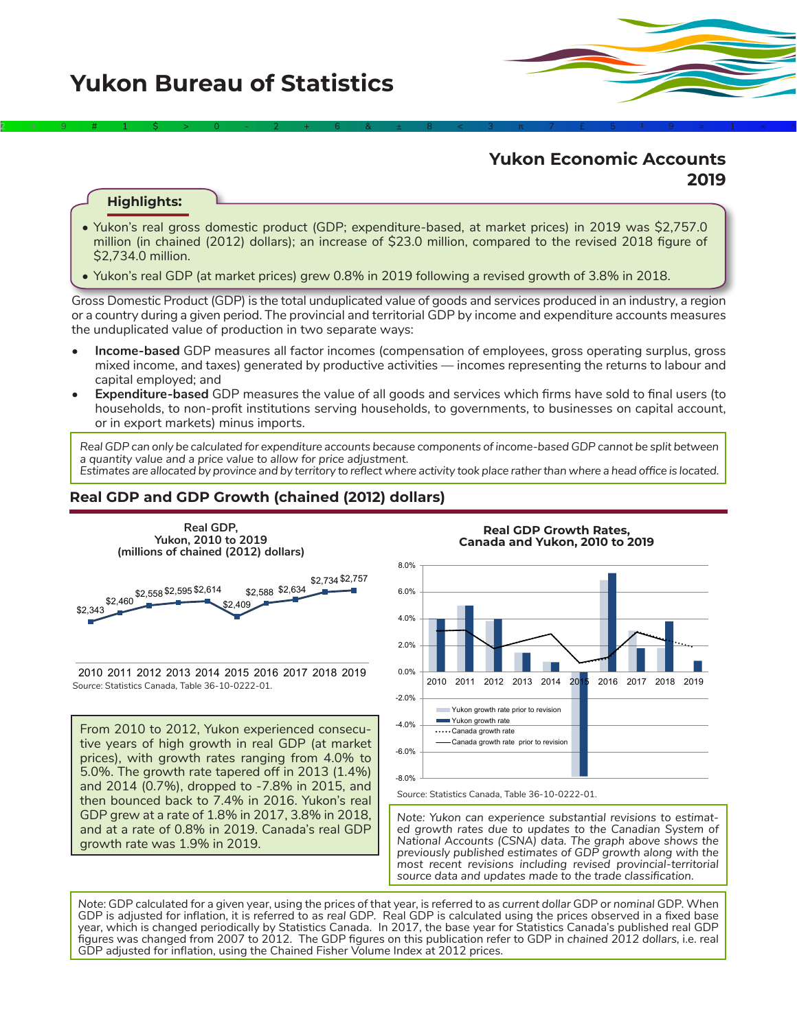# **Yukon Economic Accounts 2019**

## **Highlights:**

• Yukon's real gross domestic product (GDP; expenditure-based, at market prices) in 2019 was \$2,757.0 million (in chained (2012) dollars); an increase of \$23.0 million, compared to the revised 2018 figure of \$2,734.0 million.

2÷9#1\$>0-2+6&±8<3π7£5‡9≈1∞^

• Yukon's real GDP (at market prices) grew 0.8% in 2019 following a revised growth of 3.8% in 2018.

Gross Domestic Product (GDP) is the total unduplicated value of goods and services produced in an industry, a region or a country during a given period. The provincial and territorial GDP by income and expenditure accounts measures the unduplicated value of production in two separate ways:

- **• Income-based** GDP measures all factor incomes (compensation of employees, gross operating surplus, gross mixed income, and taxes) generated by productive activities — incomes representing the returns to labour and capital employed; and
- **• Expenditure-based** GDP measures the value of all goods and services which firms have sold to final users (to households, to non-profit institutions serving households, to governments, to businesses on capital account, or in export markets) minus imports.

*Real GDP can only be calculated for expenditure accounts because components of income-based GDP cannot be split between a quantity value and a price value to allow for price adjustment.*

*Estimates are allocated by province and by territory to reflect where activity took place rather than where a head office is located.*

# **Real GDP and GDP Growth (chained (2012) dollars)**



*Source*: Statistics Canada, Table 36-10-0222-01. 2010 2011 2012 2013 2014 2015 2016 2017 2018 2019

From 2010 to 2012, Yukon experienced consecutive years of high growth in real GDP (at market prices), with growth rates ranging from 4.0% to 5.0%. The growth rate tapered off in 2013 (1.4%) and 2014 (0.7%), dropped to -7.8% in 2015, and then bounced back to 7.4% in 2016. Yukon's real GDP grew at a rate of 1.8% in 2017, 3.8% in 2018, and at a rate of 0.8% in 2019. Canada's real GDP growth rate was 1.9% in 2019.



*Note: Yukon can experience substantial revisions to estimated growth rates due to updates to the Canadian System of National Accounts (CSNA) data. The graph above shows the previously published estimates of GDP growth along with the most recent revisions including revised provincial-territorial source data and updates made to the trade classification.*

*Note*: GDP calculated for a given year, using the prices of that year, is referred to as *current dollar* GDP or *nominal* GDP. When GDP is adjusted for inflation, it is referred to as *real* GDP. Real GDP is calculated using the prices observed in a fixed base year, which is changed periodically by Statistics Canada. In 2017, the base year for Statistics Canada's published real GDP figures was changed from 2007 to 2012. The GDP figures on this publication refer to GDP in *chained 2012 dollars,* i.e. real GDP adjusted for inflation, using the Chained Fisher Volume Index at 2012 prices.

**Real GDP Growth Rates,**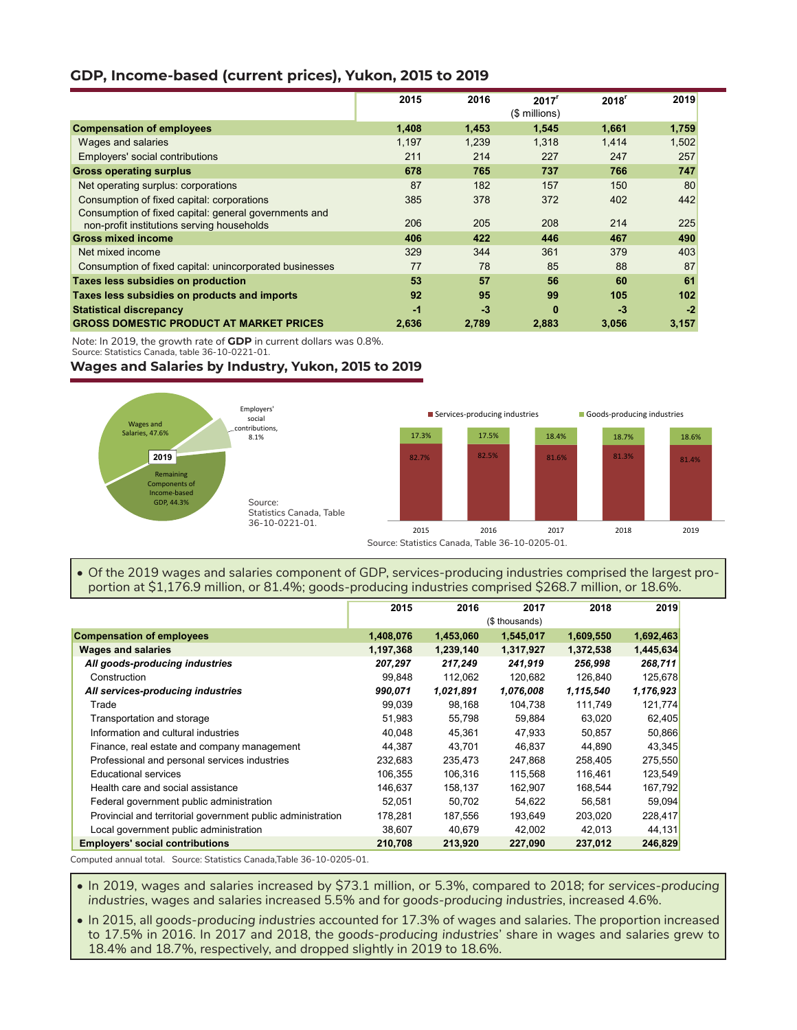# **GDP, Income-based (current prices), Yukon, 2015 to 2019**

|                                                                                                     | 2015  | 2016  | 2017 <sup>r</sup><br>(\$ millions) | 2018 <sup>r</sup> | 2019  |
|-----------------------------------------------------------------------------------------------------|-------|-------|------------------------------------|-------------------|-------|
| <b>Compensation of employees</b>                                                                    | 1,408 | 1,453 | 1,545                              | 1,661             | 1,759 |
| Wages and salaries                                                                                  | 1,197 | 1,239 | 1,318                              | 1,414             | 1,502 |
| Employers' social contributions                                                                     | 211   | 214   | 227                                | 247               | 257   |
| <b>Gross operating surplus</b>                                                                      | 678   | 765   | 737                                | 766               | 747   |
| Net operating surplus: corporations                                                                 | 87    | 182   | 157                                | 150               | 80    |
| Consumption of fixed capital: corporations                                                          | 385   | 378   | 372                                | 402               | 442   |
| Consumption of fixed capital: general governments and<br>non-profit institutions serving households | 206   | 205   | 208                                | 214               | 225   |
| <b>Gross mixed income</b>                                                                           | 406   | 422   | 446                                | 467               | 490   |
| Net mixed income                                                                                    | 329   | 344   | 361                                | 379               | 403   |
| Consumption of fixed capital: unincorporated businesses                                             | 77    | 78    | 85                                 | 88                | 87    |
| Taxes less subsidies on production                                                                  | 53    | 57    | 56                                 | 60                | 61    |
| Taxes less subsidies on products and imports                                                        | 92    | 95    | 99                                 | 105               | 102   |
| <b>Statistical discrepancy</b>                                                                      | -1    | $-3$  | $\bf{0}$                           | $-3$              | $-2$  |
| <b>GROSS DOMESTIC PRODUCT AT MARKET PRICES</b>                                                      | 2,636 | 2,789 | 2,883                              | 3,056             | 3,157 |

*Note*: In 2019, the growth rate of **GDP** in current dollars was 0.8%.

Source: Statistics Canada, table 36-10-0221-01.

### **Wages and Salaries by Industry, Yukon, 2015 to 2019**



### • Of the 2019 wages and salaries component of GDP, services-producing industries comprised the largest proportion at \$1,176.9 million, or 81.4%; goods-producing industries comprised \$268.7 million, or 18.6%.

|                                                             | 2015           | 2016      | 2017      | 2018      | 2019      |
|-------------------------------------------------------------|----------------|-----------|-----------|-----------|-----------|
|                                                             | (\$ thousands) |           |           |           |           |
| <b>Compensation of employees</b>                            | 1,408,076      | 1,453,060 | 1,545,017 | 1,609,550 | 1,692,463 |
| <b>Wages and salaries</b>                                   | 1,197,368      | 1,239,140 | 1.317,927 | 1,372,538 | 1,445,634 |
| All goods-producing industries                              | 207,297        | 217,249   | 241,919   | 256,998   | 268,711   |
| Construction                                                | 99,848         | 112,062   | 120,682   | 126,840   | 125,678   |
| All services-producing industries                           | 990,071        | 1,021,891 | 1,076,008 | 1,115,540 | 1,176,923 |
| Trade                                                       | 99,039         | 98,168    | 104,738   | 111,749   | 121,774   |
| Transportation and storage                                  | 51,983         | 55,798    | 59,884    | 63,020    | 62,405    |
| Information and cultural industries                         | 40,048         | 45.361    | 47.933    | 50.857    | 50,866    |
| Finance, real estate and company management                 | 44,387         | 43,701    | 46.837    | 44,890    | 43,345    |
| Professional and personal services industries               | 232,683        | 235,473   | 247,868   | 258,405   | 275,550   |
| <b>Educational services</b>                                 | 106.355        | 106.316   | 115.568   | 116.461   | 123,549   |
| Health care and social assistance                           | 146,637        | 158,137   | 162,907   | 168,544   | 167,792   |
| Federal government public administration                    | 52,051         | 50,702    | 54,622    | 56,581    | 59,094    |
| Provincial and territorial government public administration | 178,281        | 187,556   | 193.649   | 203,020   | 228,417   |
| Local government public administration                      | 38,607         | 40,679    | 42,002    | 42,013    | 44,131    |
| <b>Employers' social contributions</b>                      | 210,708        | 213,920   | 227,090   | 237,012   | 246,829   |

Computed annual total. Source: Statistics Canada,Table 36-10-0205-01.

• In 2019, wages and salaries increased by \$73.1 million, or 5.3%, compared to 2018; for *services-producing industries*, wages and salaries increased 5.5% and for *goods-producing industries*, increased 4.6%.

• In 2015, all *goods-producing industries* accounted for 17.3% of wages and salaries. The proportion increased to 17.5% in 2016. In 2017 and 2018, the *goods-producing industries*' share in wages and salaries grew to 18.4% and 18.7%, respectively, and dropped slightly in 2019 to 18.6%.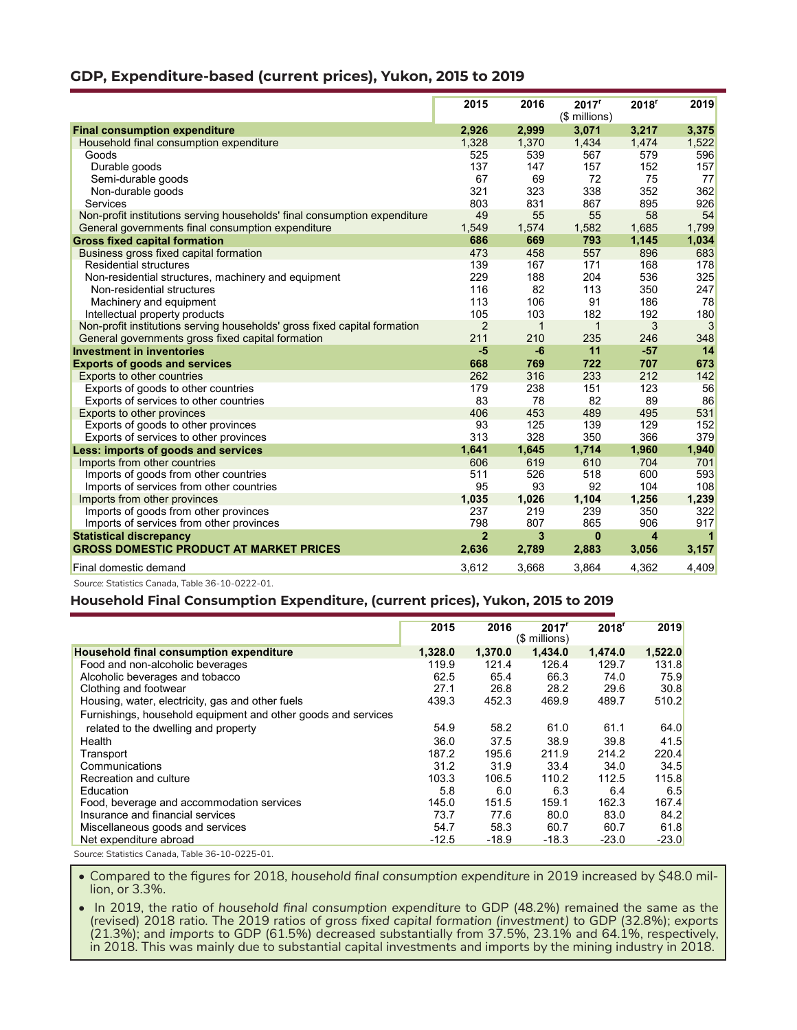# **GDP, Expenditure-based (current prices), Yukon, 2015 to 2019**

|                                                                           | 2015           | 2016         | 2017 <sup>r</sup><br>(\$ millions) | $2018$ <sup>r</sup> | 2019  |
|---------------------------------------------------------------------------|----------------|--------------|------------------------------------|---------------------|-------|
| <b>Final consumption expenditure</b>                                      | 2,926          | 2,999        | 3,071                              | 3,217               | 3,375 |
| Household final consumption expenditure                                   | 1.328          | 1,370        | 1,434                              | 1,474               | 1.522 |
| Goods                                                                     | 525            | 539          | 567                                | 579                 | 596   |
| Durable goods                                                             | 137            | 147          | 157                                | 152                 | 157   |
| Semi-durable goods                                                        | 67             | 69           | 72                                 | 75                  | 77    |
| Non-durable goods                                                         | 321            | 323          | 338                                | 352                 | 362   |
| Services                                                                  | 803            | 831          | 867                                | 895                 | 926   |
| Non-profit institutions serving households' final consumption expenditure | 49             | 55           | 55                                 | 58                  | 54    |
| General governments final consumption expenditure                         | 1,549          | 1,574        | 1,582                              | 1,685               | 1,799 |
| <b>Gross fixed capital formation</b>                                      | 686            | 669          | 793                                | 1,145               | 1,034 |
| Business gross fixed capital formation                                    | 473            | 458          | 557                                | 896                 | 683   |
| <b>Residential structures</b>                                             | 139            | 167          | 171                                | 168                 | 178   |
| Non-residential structures, machinery and equipment                       | 229            | 188          | 204                                | 536                 | 325   |
| Non-residential structures                                                | 116            | 82           | 113                                | 350                 | 247   |
| Machinery and equipment                                                   | 113            | 106          | 91                                 | 186                 | 78    |
| Intellectual property products                                            | 105            | 103          | 182                                | 192                 | 180   |
| Non-profit institutions serving households' gross fixed capital formation | $\overline{2}$ | $\mathbf{1}$ | $\mathbf 1$                        | 3                   | 3     |
| General governments gross fixed capital formation                         | 211            | 210          | 235                                | 246                 | 348   |
| <b>Investment in inventories</b>                                          | $-5$           | $-6$         | 11                                 | $-57$               | 14    |
| <b>Exports of goods and services</b>                                      | 668            | 769          | 722                                | 707                 | 673   |
| <b>Exports to other countries</b>                                         | 262            | 316          | 233                                | 212                 | 142   |
| Exports of goods to other countries                                       | 179            | 238          | 151                                | 123                 | 56    |
| Exports of services to other countries                                    | 83             | 78           | 82                                 | 89                  | 86    |
| Exports to other provinces                                                | 406            | 453          | 489                                | 495                 | 531   |
| Exports of goods to other provinces                                       | 93             | 125          | 139                                | 129                 | 152   |
| Exports of services to other provinces                                    | 313            | 328          | 350                                | 366                 | 379   |
| Less: imports of goods and services                                       | 1.641          | 1,645        | 1,714                              | 1,960               | 1,940 |
| Imports from other countries                                              | 606            | 619          | 610                                | 704                 | 701   |
| Imports of goods from other countries                                     | 511            | 526          | 518                                | 600                 | 593   |
| Imports of services from other countries                                  | 95             | 93           | 92                                 | 104                 | 108   |
| Imports from other provinces                                              | 1,035          | 1,026        | 1,104                              | 1,256               | 1.239 |
| Imports of goods from other provinces                                     | 237            | 219          | 239                                | 350                 | 322   |
| Imports of services from other provinces                                  | 798            | 807          | 865                                | 906                 | 917   |
| <b>Statistical discrepancy</b>                                            | $\overline{2}$ | 3            | $\bf{0}$                           | 4                   | 1     |
| <b>GROSS DOMESTIC PRODUCT AT MARKET PRICES</b>                            | 2,636          | 2,789        | 2,883                              | 3,056               | 3,157 |
| Final domestic demand                                                     | 3,612          | 3,668        | 3,864                              | 4,362               | 4,409 |

*Source*: Statistics Canada, Table 36-10-0222-01.

#### **Household Final Consumption Expenditure, (current prices), Yukon, 2015 to 2019**

|                                                               | 2015    | 2016    | 2017 <sup>r</sup><br>(\$ millions) | 2018 <sup>r</sup> | 2019    |
|---------------------------------------------------------------|---------|---------|------------------------------------|-------------------|---------|
| Household final consumption expenditure                       | 1,328.0 | 1,370.0 | 1,434.0                            | 1,474.0           | 1,522.0 |
| Food and non-alcoholic beverages                              | 119.9   | 121.4   | 126.4                              | 129.7             | 131.8   |
| Alcoholic beverages and tobacco                               | 62.5    | 65.4    | 66.3                               | 74.0              | 75.9    |
| Clothing and footwear                                         | 27.1    | 26.8    | 28.2                               | 29.6              | 30.8    |
| Housing, water, electricity, gas and other fuels              | 439.3   | 452.3   | 469.9                              | 489.7             | 510.2   |
| Furnishings, household equipment and other goods and services |         |         |                                    |                   |         |
| related to the dwelling and property                          | 54.9    | 58.2    | 61.0                               | 61.1              | 64.0    |
| Health                                                        | 36.0    | 37.5    | 38.9                               | 39.8              | 41.5    |
| Transport                                                     | 187.2   | 195.6   | 211.9                              | 214.2             | 220.4   |
| Communications                                                | 31.2    | 31.9    | 33.4                               | 34.0              | 34.5    |
| Recreation and culture                                        | 103.3   | 106.5   | 110.2                              | 112.5             | 115.8   |
| Education                                                     | 5.8     | 6.0     | 6.3                                | 6.4               | 6.5     |
| Food, beverage and accommodation services                     | 145.0   | 151.5   | 159.1                              | 162.3             | 167.4   |
| Insurance and financial services                              | 73.7    | 77.6    | 80.0                               | 83.0              | 84.2    |
| Miscellaneous goods and services                              | 54.7    | 58.3    | 60.7                               | 60.7              | 61.8    |
| Net expenditure abroad                                        | $-12.5$ | $-18.9$ | $-18.3$                            | $-23.0$           | $-23.0$ |

*Source*: Statistics Canada, Table 36-10-0225-01.

• Compared to the figures for 2018, *household final consumption expenditure* in 2019 increased by \$48.0 million, or 3.3%.

• In 2019, the ratio of *household final consumption expenditure* to GDP (48.2%) remained the same as the (revised) 2018 ratio. The 2019 ratios of *gross fixed capital formation (investment)* to GDP (32.8%); *exports* (21.3%); and *imports* to GDP (61.5%) decreased substantially from 37.5%, 23.1% and 64.1%, respectively, in 2018. This was mainly due to substantial capital investments and imports by the mining industry in 2018.